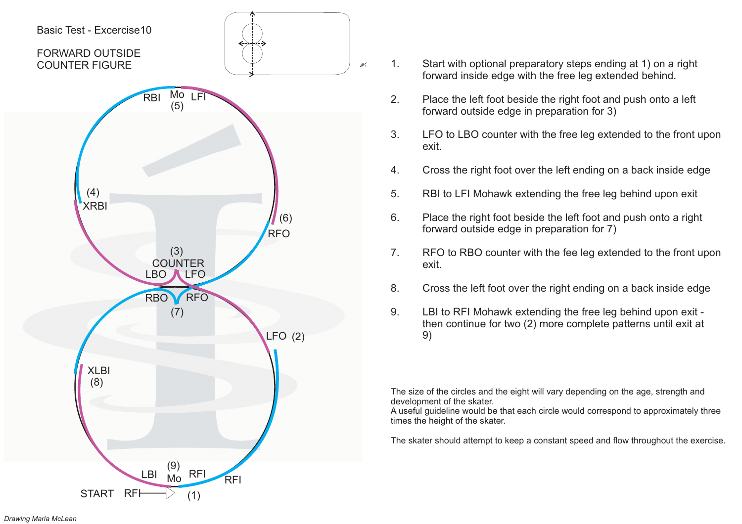

- 1. Start with optional preparatory steps ending at 1) on <sup>a</sup> right forward inside edge with the free leg extended behind.
- 2. Place the left foot beside the right foot and push onto <sup>a</sup> left forward outside edge in preparation for 3)
- 3. LFO to LBO counter with the free leg extended to the front upon exit.
- 4. Cross the right foot over the left ending on <sup>a</sup> back inside edge
- 5. RBI to LFI Mohawk extending the free leg behind upon exit
- 6. Place the right foot beside the left foot and push onto <sup>a</sup> right forward outside edge in preparation for 7)
- 7. RFO to RBO counter with the fee leg extended to the front upon exit.
- 8. Cross the left foot over the right ending on <sup>a</sup> back inside edge
- 9. LBI to RFI Mohawk extending the free leg behind upon exit then continue for two (2) more complete patterns until exit at 9)

A useful guideline would be that each circle would correspond to approximately three times the height of the skater.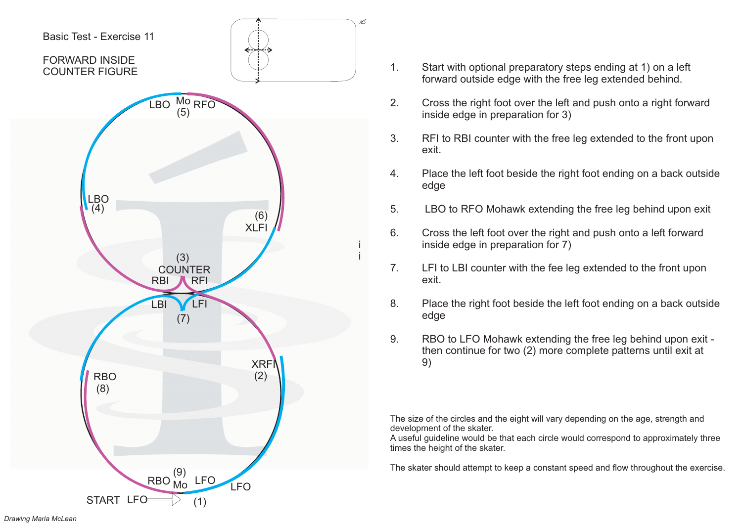

- 1. Start with optional preparatory steps ending at 1) on <sup>a</sup> left forward outside edge with the free leg extended behind.
- 2. Cross the right foot over the left and push onto <sup>a</sup> right forward inside edge in preparation for 3)
- 3. RFI to RBI counter with the free leg extended to the front upon exit.
- 4. Place the left foot beside the right foot ending on <sup>a</sup> back outside edge
- 5. LBO to RFO Mohawk extending the free leg behind upon exit
- 6. Cross the left foot over the right and push onto <sup>a</sup> left forward inside edge in preparation for 7)
- 7. LFI to LBI counter with the fee leg extended to the front upon exit.
- 8. Place the right foot beside the left foot ending on <sup>a</sup> back outside edge
- 9. RBO to LFO Mohawk extending the free leg behind upon exit then continue for two (2) more complete patterns until exit at 9)

A useful guideline would be that each circle would correspond to approximately three times the height of the skater.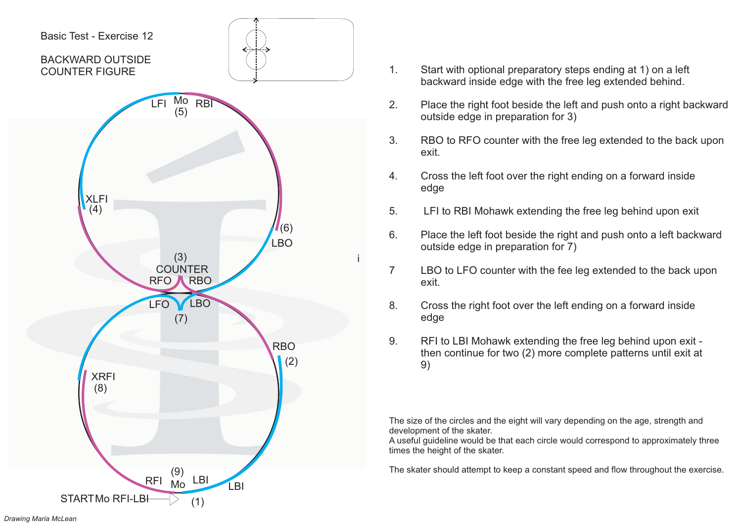

- 1. Start with optional preparatory steps ending at 1) on <sup>a</sup> left backward inside edge with the free leg extended behind.
- 2. Place the right foot beside the left and push onto <sup>a</sup> right backward outside edge in preparation for 3)
- 3. RBO to RFO counter with the free leg extended to the back upon exit.
- 4. Cross the left foot over the right ending on <sup>a</sup> forward inside edge
- 5. LFI to RBI Mohawk extending the free leg behind upon exit
- 6. Place the left foot beside the right and push onto <sup>a</sup> left backward outside edge in preparation for 7)
- 7 LBO to LFO counter with the fee leg extended to the back upon exit.
- 8. Cross the right foot over the left ending on <sup>a</sup> forward inside edge
- 9. RFI to LBI Mohawk extending the free leg behind upon exit then continue for two (2) more complete patterns until exit at 9)

A useful guideline would be that each circle would correspond to approximately three times the height of the skater.